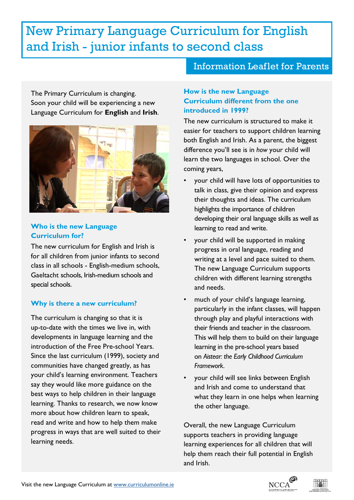# New Primary Language Curriculum for English and Irish - junior infants to second class

The Primary Curriculum is changing. Soon your child will be experiencing a new Language Curriculum for **English** and **Irish**.



#### **Who is the new Language Curriculum for?**

The new curriculum for English and Irish is for all children from junior infants to second class in all schools - English-medium schools, Gaeltacht schools, Irish-medium schools and special schools.

### **Why is there a new curriculum?**

The curriculum is changing so that it is up-to-date with the times we live in, with developments in language learning and the introduction of the Free Pre-school Years. Since the last curriculum (1999), society and communities have changed greatly, as has your child's learning environment. Teachers say they would like more guidance on the best ways to help children in their language learning. Thanks to research, we now know more about how children learn to speak, read and write and how to help them make progress in ways that are well suited to their learning needs.

## Information Leaflet for Parents

#### **How is the new Language Curriculum different from the one introduced in 1999?**

The new curriculum is structured to make it easier for teachers to support children learning both English and Irish. As a parent, the biggest difference you'll see is in *how* your child will learn the two languages in school. Over the coming years,

- your child will have lots of opportunities to talk in class, give their opinion and express their thoughts and ideas. The curriculum highlights the importance of children developing their oral language skills as well as learning to read and write.
- your child will be supported in making progress in oral language, reading and writing at a level and pace suited to them. The new Language Curriculum supports children with different learning strengths and needs.
- much of your child's language learning, particularly in the infant classes, will happen through play and playful interactions with their friends and teacher in the classroom. This will help them to build on their language learning in the pre-school years based on *Aistear: the Early Childhood Curriculum Framework*.
- your child will see links between English and Irish and come to understand that what they learn in one helps when learning the other language.

Overall, the new Language Curriculum supports teachers in providing language learning experiences for all children that will help them reach their full potential in English and Irish.